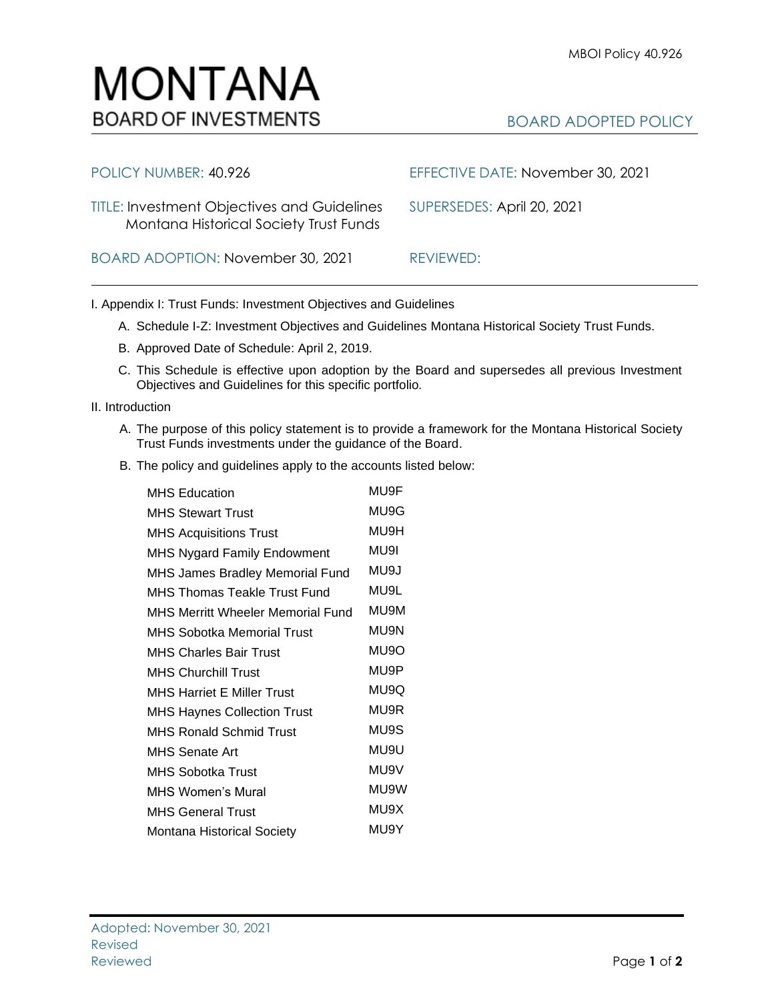BOARD ADOPTED POLICY

## TITLE: Investment Objectives and Guidelines SUPERSEDES: April 20, 2021 Montana Historical Society Trust Funds BOARD ADOPTION: November 30, 2021 REVIEWED:

MONTANA

**BOARD OF INVESTMENTS** 

POLICY NUMBER: 40.926 EFFECTIVE DATE: November 30, 2021

I. Appendix I: Trust Funds: Investment Objectives and Guidelines

- A. Schedule I-Z: Investment Objectives and Guidelines Montana Historical Society Trust Funds.
- B. Approved Date of Schedule: April 2, 2019.
- C. This Schedule is effective upon adoption by the Board and supersedes all previous Investment Objectives and Guidelines for this specific portfolio*.*

II. Introduction

- A. The purpose of this policy statement is to provide a framework for the Montana Historical Society Trust Funds investments under the guidance of the Board.
- B. The policy and guidelines apply to the accounts listed below:

| <b>MHS Education</b>               | MU9F |
|------------------------------------|------|
| <b>MHS Stewart Trust</b>           | MU9G |
| <b>MHS Acquisitions Trust</b>      | MU9H |
| <b>MHS Nygard Family Endowment</b> | MU9I |
| MHS James Bradley Memorial Fund    | MU9J |
| MHS Thomas Teakle Trust Fund       | MU9L |
| MHS Merritt Wheeler Memorial Fund  | MU9M |
| MHS Sobotka Memorial Trust         | MU9N |
| MHS Charles Bair Trust             | MU9O |
| <b>MHS Churchill Trust</b>         | MU9P |
| <b>MHS Harriet E Miller Trust</b>  | MU9Q |
| <b>MHS Haynes Collection Trust</b> | MU9R |
| MHS Ronald Schmid Trust            | MU9S |
| MHS Senate Art                     | MU9U |
| <b>MHS Sobotka Trust</b>           | MU9V |
| <b>MHS Women's Mural</b>           | MU9W |
| <b>MHS General Trust</b>           | MU9X |
| <b>Montana Historical Society</b>  | MU9Y |